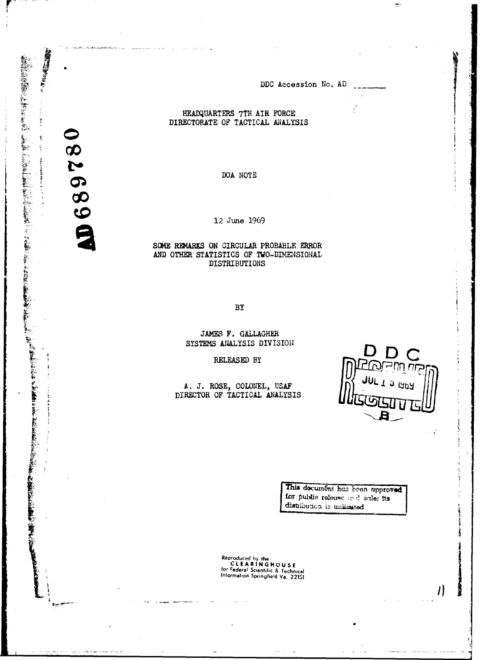DDC Accession No. AD

## HEADQUARTERS 7TH AIR FORCE DIRECTORATE OF TACTICAL ANALYSIS

DOA NOTE

12 June 1969

SOME REMARKS ON CIRCULAR PROBABLE ERROR AND OTHER STATISTICS OF TWO-DIMENSIONAL DISTRIBUTIONS

BY

JAMES F. GALLAGHER SYSTEMS ANALYSIS DIVISION

RELEASED BY

A. J. ROSE, COLONEL, USAF DIRECTOR OF TACTICAL ANALYSIS



المساداة

 $\eta$ 

This document has been approved for public release and sale; its distribution is unlimited

Reproduced by the<br>CLEARINGHOUSE<br>for Federal Scientific & Technical<br>Information Springfield Va. 22151

068978

● 最適可得度は電気をして

ţ

mana and hold in the project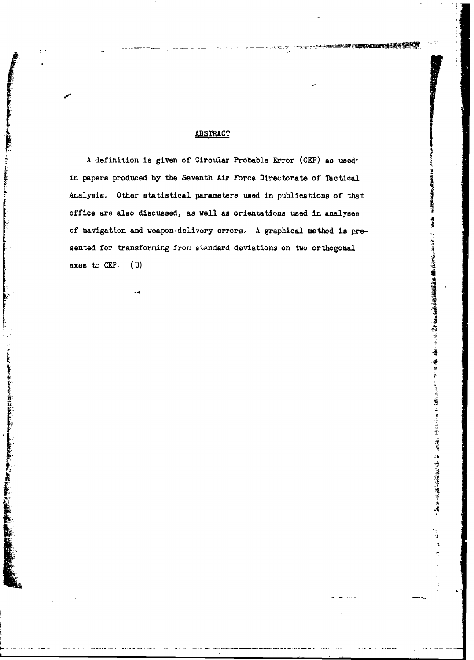## **ABSTRACT**

**A** definition is given of Circular Probable Error (CEP) as used in papers produced by the Seventh Air Force Directorate of Tactical Analysis, Other statistical parametere used in publications of that office are also discussed, as well as orientations used in analyses of navigation and weapon-delivery errors, A graphical method is presented for transforming from standard deviations on two orthogonal **J** axes to **CEP** (U) (U)  $\frac{1}{2}$  and  $\frac{1}{2}$  and  $\frac{1}{2}$  and  $\frac{1}{2}$  and  $\frac{1}{2}$  and  $\frac{1}{2}$  and  $\frac{1}{2}$  and  $\frac{1}{2}$  and  $\frac{1}{2}$  and  $\frac{1}{2}$  and  $\frac{1}{2}$  and  $\frac{1}{2}$  and  $\frac{1}{2}$  and  $\frac{1}{2}$  and

 $\frac{1}{2}$ 

را المشكل المراكب

**I-**

不要 医皮质 医心理学 医心理学家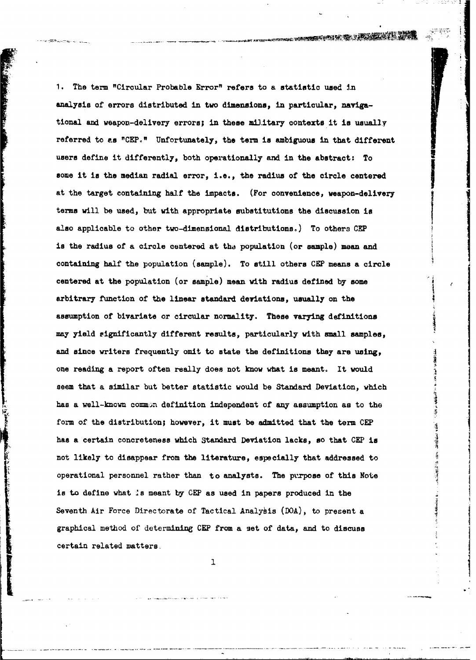سنديان والد

**1.** The term "Circular Probable Error" refers to a statistic used in analysis of errors distributed in two dimensions, in particular, navigational. and weapon-delivery errors; in these military contexts it is usually referred to as "CEP." Unfortunately, the term is ambiguous in that different users define it differently, both operationally and in the abstract: To some it is the median radial error, i.e., the radius of the circle centered at the target containing half the impacts. (For convenience, weapon-delivery terms will be used, but with appropriate substitutions the discussion is also applicable to other two-dimensional distributions.) To others **CEP** is the radius of a circle centered at the population (or sample) mean and containing **half** the population (sample). To still others **CEP** means a circle centered at the population (or sample) mean with radius defined by some arbitrary function of the linear standard deviations, usually on the assumption of bivariate or circular normality. These varying definitions may yield rignificantly different results, particularly with small samples, and since writers frequently omit to state the definitions they are using, one reading a report often really does not know what is meant. It would seem that a similar but better statistic would be Standard Deviation, which has a well-known common definition independent of any assumption as to the form of the distribution; however, it must be admitted that the term **CEP** has a certain concreteness which Standard Deviation lacks, so that **CEP** is not likely to disappear from the literature, especially that addressed to operational personnel rather than to analysts. The purpose of this Note is to define what **is** meant **by CEP** as used in papers produced in the

Seventh Air Force Directorate of Tactical Analybis (DOA), to present a graphical method of determining **CEP** from a set of data, and to discuss certain related matters.<br>1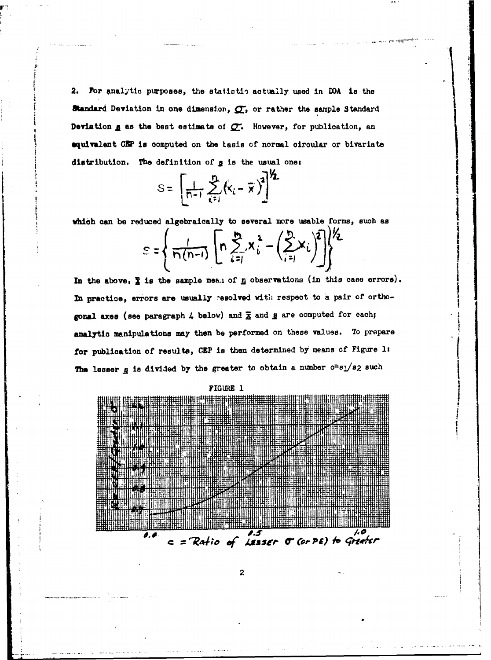2. For analytic purposes, the statistic actually used in DOA is the Standard Deviation in one dimension,  $\sigma$ , or rather the sample Standard Deviation g as the best estimate of  $C$ . However, for publication, an equivalent CEP is computed on the tasis of normal circular or bivariate distribution. The definition of g is the usual one:

$$
S = \left[\frac{1}{n-1}\sum_{i=1}^{n} (x_i - \overline{x})^2\right]^{\gamma}.
$$

which can be reduced algebraically to several more usable forms, such as

$$
S = \left\{ \frac{1}{\Gamma(n-1)} \left[ \Gamma \sum_{i=1}^{n} X_i^2 - \left( \sum_{i=1}^{n} X_i \right)^2 \right] \right\}^{\frac{1}{2}}
$$

In the above,  $\Sigma$  is the sample mean of  $\underline{n}$  observations (in this case errors). In practice, errors are usually resolved with respect to a pair of orthogonal axes (see paragraph 4 below) and  $\bar{x}$  and g are computed for each; analytic manipulations may then be performed on these values. To prepare for publication of results, CEP is then determined by means of Figure 1: The lesser g is divided by the greater to obtain a number  $c = s_1/s_2$  such



 $\boldsymbol{2}$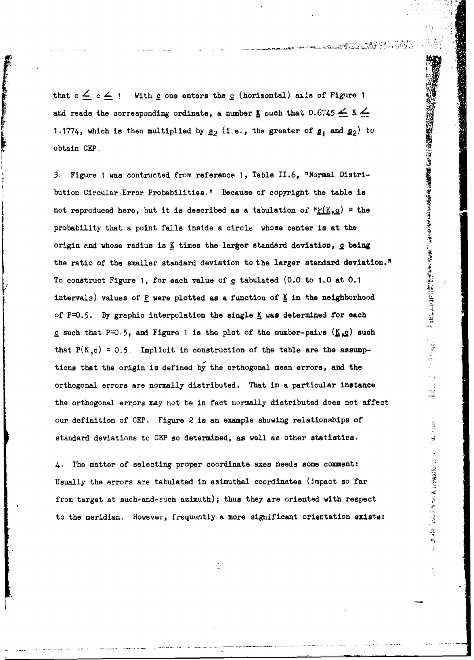that  $0 \leq c \leq 1$ . With  $c$  one enters the  $c$  (horizontal) axis of Figure 1 and reads the corresponding ordinate, a number  $\underline{\mathbf{K}}$  such that  $0.6745 \leq \underline{\mathbf{K}} \leq$ 1.1774, which is then multiplied by  $\underline{\mathbf{g}}_2$  (1.e., the greater of  $\underline{\mathbf{g}}_1$  and  $\underline{\mathbf{g}}_2$ ) to obtain CEP.

and reads the corresponding ordinate, a number  $\underline{K}$  and  $0.6745 \leq \underline{K} \leq$ <br>
1.1774, which is then multiplied by  $\underline{g}_2$  (1.e., the greater of  $\underline{g}_1$  and  $\underline{g}_2$ ) to<br>
3. Figure 1 was contructed from reference 1 bution Circular Error Probabilities," Because of copyright the table is not reproduced here, but it is described as a tabulation of  $P_{\mathcal{L}}(K_{p}c)$  = the probability that a point falls inside a circle whose center is at the origin and whose radius is K times the larger standard deviation, c being the ratio of the smaller standard deviation to the larger standard deviation." To construct Figure 1, for each value of c tabulated (0.0 to 1.0 at 0.1 intervals) values of P were plotted as a function of K in the neighborhood of P=0.5. By graphic interpolation the single K was determined for each **c** such that  $P=0.5$ , and Figure 1 is the plot of the number-pairs ( $\underline{K}, \underline{c}$ ) such that  $P(K, c) = 0.5$ . Implicit in construction of the table are the assumptions that the origin is defined **by** the orthogonal mean errors, and the orthogonal errors are normally distributed, That in a particular instance the orthogonal errors may not **be** in fact normally distributed does not affect our definition of **CEP.** Figure 2 is an example showing relationships of standard deviations to CEP so determined, as well as other statistics.

医皮膜切除术 经公司的 医心理性神经

**Bollage** Stave

1978年,我们的一个人,我们的一个人,我们的一个人,我们的一个人,我们的一个人,我们的一个人。

4. The matter of selecting proper coordinate axes needs some comment: Usually the errors are tabulated in azimuthal coordinates (mpact so far from target at such-and-zuch azimuth); thus they are oriented with respect to the meridian. However, frequently a more significant orientation exists: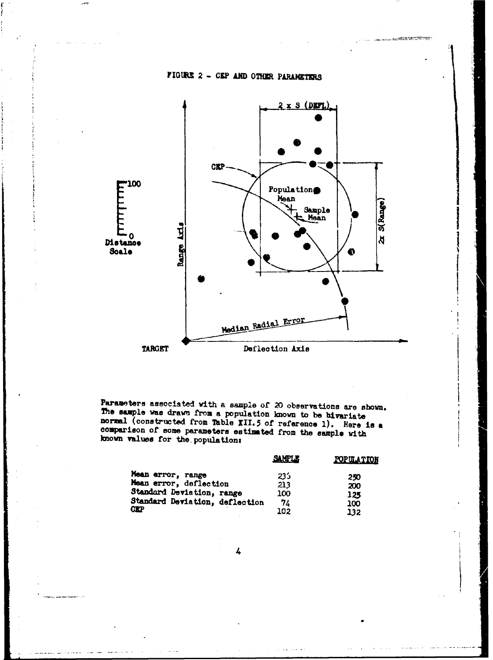

## **FIGURE 2 - CEP AND OTHER PARAMETERS**



Parameters associated with a sample of 20 observations are shown. The sample was drawn from a population known to **be** bivariate normal (constructed from Table XII.5 of reference 1). Here is a comparison of some parameters estimated from the sample with )mown values for the. population:

|                                | <b>SAMPLE</b> | <b>POPULATION</b> |
|--------------------------------|---------------|-------------------|
| Mean error, range              | 233           | 250               |
| Mean error, deflection         | 213           | 200               |
| Standard Devistion, range      | 100           | 125               |
| Standard Deviation, deflection | 74            | 100               |
| <b>CKP</b>                     | 102           | 132               |

4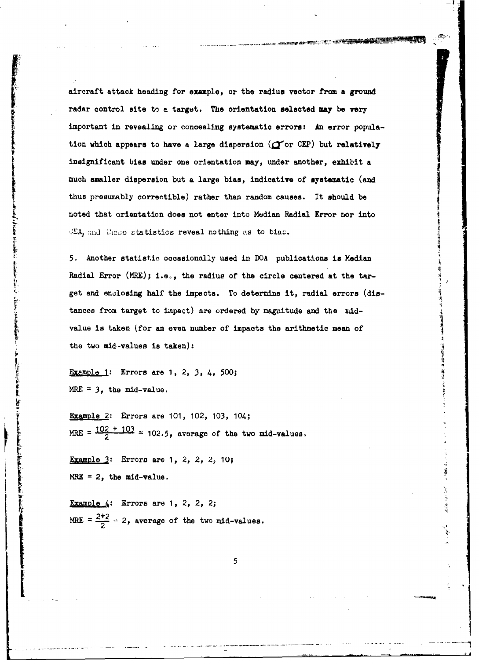aircraft attack heading for example, or the radius vector from a ground radar control site to a target. The orientation selected may be very important in revealing or concealing systematic errors? An error population which appears to have a large dispersion ( $\sigma$ or CEP) but relatively insignificant bias under **one** orientation may, **under** another, **exhibit a** ~much smaller dispersion but **a** large bias, indicative **of** systematic (and thus presumably correctible) rather than random causes. It should be noted that orientation does not enter into Median Radial Error nor into **EA**, and these statistics reveal nothing as to bias.

5. Another statistic occasionally used in DOA publications is Median Radial Error (MRE); i.e., the radius of the circle centered at the target and enclosing half the impacts. To determine it, radial errors (distances from target to impact) are ordered by magnitude and the midvalue is taken (for an even number of impacts the arithmetic mean of  $\tau_{\rm eff}$ 

Example 1: Errors are 1, 2, 3, 4, 500; **Fxemple 1:** Errors are<br> **Fxemple 1:** Errors are<br> **MRE = 3, the mid-value.** 

> Example 2: Errors are 101, 102, 103, 104;  $= 102 + 103 = 103.5$ , average of the two mid-values, 2

Examle **3:** Errors are **1,** 2, 2, 2, 10;  $MRE = 2$ , the mid-value.

Example **.4:** Errors are **1,** 2, 2, 2; MRE =  $\frac{2+2}{2}$  = 2, average of the two mid-values.

5

计编制机机

attable, sure test

þ.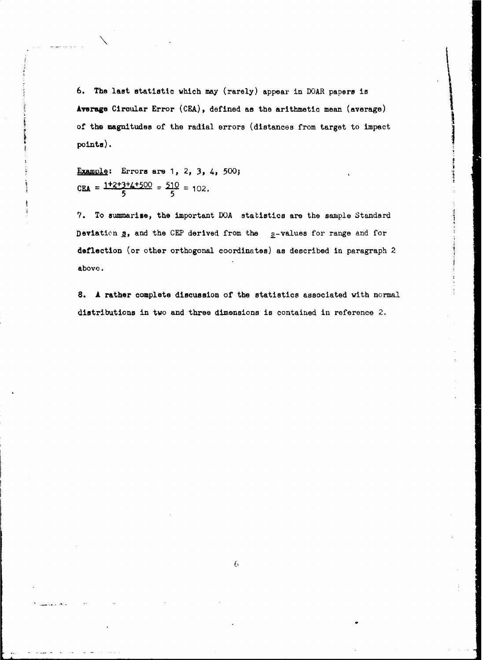6. The last statistic which may (rarely) appear in DOAR papers is Average Circular Error (CEA), defined as the arithmetic mean (average) of the magnitudes of the radial errors (distances from target to impact points).

Example; Errors are **1,** 2, 3, 4, 500; CEA =  $\frac{1+2+3+4+500}{5}$  =  $\frac{510}{5}$  = 102.

**7.** To summarize, the important DOA statistics are the sample Standard Deviation  $g$ , and the CEP derived from the  $g$ -values for range and for deflection (or other orthogonal coordinates) as described in paragraph 2 above.

8. A rather complete discussion of the statistics associated with normal distributions in two and three dimensions is contained in reference **2.**

**6**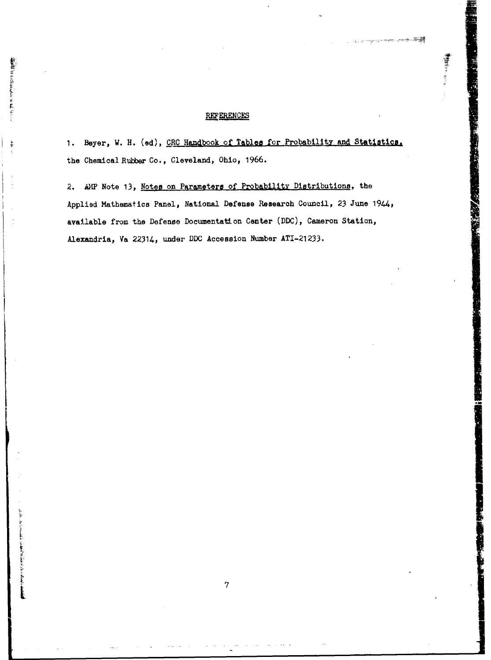## **REFERENCES**

**解釈書にFARANCHALLAN WARRANTS ARE** 

en altre l'altre partie de l'en le partie de l'altre l'en le partie de la partie de la

1. Beyer, W. H. (ed), CRC Handbook of Tables for Probability and Statistics. the Chemical Rubber Co., Cleveland, Ohio, **1966.**

■ 三つ 三つ 三つ

2. AMP Note 13, Notes on Parameters of Probability Distributions, the Applied Mathematics Panel, National Defense Research Council, 23 June 1944, available from the Defense Documentation Center **(DDC),** Cameron Station, Alexandria, Va 22314, under **DDC** Accession Number **ATI-21 233.**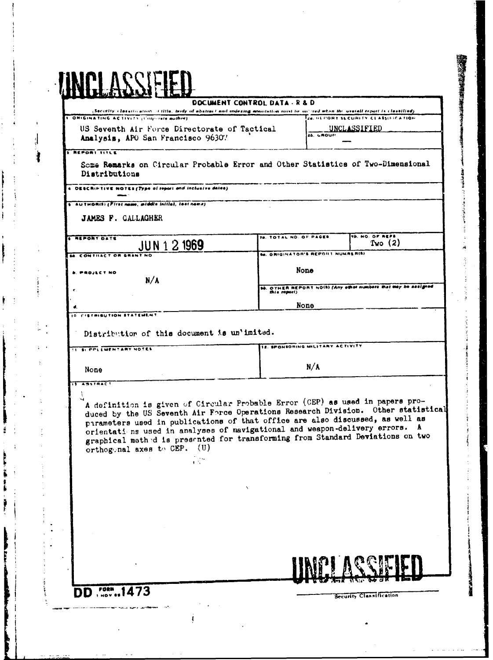### DOCUMENT CONTROL DATA - R & D

Security classification of title, body of abstract and indexing annotation nord be on ord when the overall report in classified). ORIGINATING ACTIVITY (Corporate author) Ze. HEPORT SECURITY CLASSIFICATION US Seventh Air Force Directorate of Tactical UNCLASSIFIED

Analysis, APO San Francisco 96307

 $\overline{ab}$  unour

## **REPORT TITLE**

Some Remarks on Circular Probable Error and Other Statistics of Two-Dimensional Distributions

DESCRIPTIVE NOTES (Type of report and inclusive dates)

AUTHORISI (First name, atddie initial, teet name)

JAMES F. GALLAGHER

| <b>REPORT DATE</b><br>1969<br>$31N + 2$ | ITS. TOTAL NO. OF PAGES. | <b>75. NO. OF REFS</b><br>Two $(2)$                             |  |
|-----------------------------------------|--------------------------|-----------------------------------------------------------------|--|
| <b>68. CONTRACT OR GRANT NO</b>         |                          | <b>180. ORIGINATOR'S REPORT NUMBER(S)</b>                       |  |
| <b>B. PROJECT NO.</b><br>n/a            | None                     |                                                                 |  |
|                                         |                          | 100. OTHER REPORT NO(S) (Any other numbers that may be assigned |  |

None

**ISTRIBUTION STATEMENT** 

ASSTRACT

Distribution of this document is un'imited.

 $\frac{1}{2}$  ,  $\frac{1}{2}$ 

| TIE SL PPLEMENTARY NOTES | ITE. SPONSORING MILITARY ACTIVITY |
|--------------------------|-----------------------------------|
| None                     | N/A                               |

A definition is given of Circular Probable Error (CEP) as used in papers produced by the US Seventh Air Force Operations Research Division. Other statistical parameters used in publications of that office are also discussed, as well as orientati ns used in analyses of navigational and weapon-delivery errors. A graphical method is presented for transforming from Standard Deviations on two orthogonal axes to CEP. (U)

FORM DD. I NOV

Security Classification